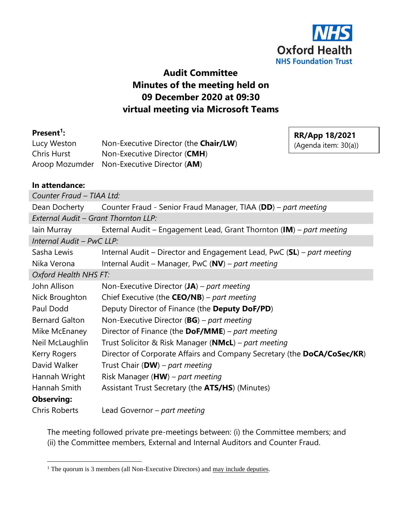

# **Audit Committee Minutes of the meeting held on 09 December 2020 at 09:30 virtual meeting via Microsoft Teams**

### **Present<sup>1</sup> :**

Lucy Weston Non-Executive Director (the **Chair/LW**) Chris Hurst Non-Executive Director (**CMH**) Aroop Mozumder Non-Executive Director (**AM**)

**RR/App 18/2021** (Agenda item: 30(a))

### **In attendance:**

| Counter Fraud - TIAA Ltd: |                                                                            |  |  |  |
|---------------------------|----------------------------------------------------------------------------|--|--|--|
| Dean Docherty             | Counter Fraud - Senior Fraud Manager, TIAA (DD) – part meeting             |  |  |  |
|                           | External Audit - Grant Thornton LLP:                                       |  |  |  |
| lain Murray               | External Audit - Engagement Lead, Grant Thornton (IM) - part meeting       |  |  |  |
| Internal Audit - PwC LLP: |                                                                            |  |  |  |
| Sasha Lewis               | Internal Audit – Director and Engagement Lead, PwC ( $SL$ ) – part meeting |  |  |  |
| Nika Verona               | Internal Audit - Manager, PwC (NV) - part meeting                          |  |  |  |
| Oxford Health NHS FT:     |                                                                            |  |  |  |
| John Allison              | Non-Executive Director $(JA)$ – part meeting                               |  |  |  |
| Nick Broughton            | Chief Executive (the $CEO/NB$ ) – part meeting                             |  |  |  |
| Paul Dodd                 | Deputy Director of Finance (the Deputy DoF/PD)                             |  |  |  |
| <b>Bernard Galton</b>     | Non-Executive Director ( $BG$ ) – part meeting                             |  |  |  |
| Mike McEnaney             | Director of Finance (the $DoF/MME$ ) – part meeting                        |  |  |  |
| Neil McLaughlin           | Trust Solicitor & Risk Manager ( <b>NMcL</b> ) – part meeting              |  |  |  |
| Kerry Rogers              | Director of Corporate Affairs and Company Secretary (the DoCA/CoSec/KR)    |  |  |  |
| David Walker              | Trust Chair (DW) – part meeting                                            |  |  |  |
| Hannah Wright             | Risk Manager ( $HW$ ) – part meeting                                       |  |  |  |
| Hannah Smith              | Assistant Trust Secretary (the ATS/HS) (Minutes)                           |  |  |  |
| <b>Observing:</b>         |                                                                            |  |  |  |
| <b>Chris Roberts</b>      | Lead Governor – part meeting                                               |  |  |  |

The meeting followed private pre-meetings between: (i) the Committee members; and (ii) the Committee members, External and Internal Auditors and Counter Fraud.

 $1$  The quorum is 3 members (all Non-Executive Directors) and  $\frac{may}{include}$  deputies.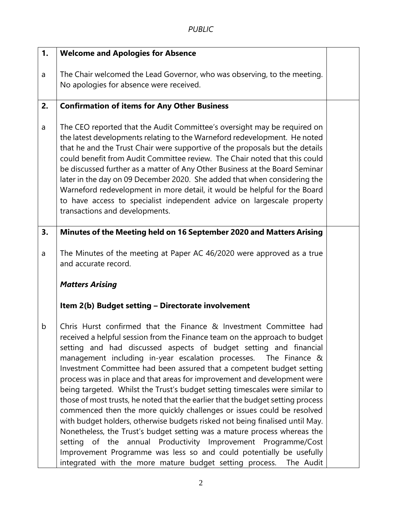| 1. | <b>Welcome and Apologies for Absence</b>                                                                                                                                                                                                                                                                                                                                                                                                                                                                                                                                                                                                                                                                                                                                                                                                                                                                                                                                                                                                                             |  |
|----|----------------------------------------------------------------------------------------------------------------------------------------------------------------------------------------------------------------------------------------------------------------------------------------------------------------------------------------------------------------------------------------------------------------------------------------------------------------------------------------------------------------------------------------------------------------------------------------------------------------------------------------------------------------------------------------------------------------------------------------------------------------------------------------------------------------------------------------------------------------------------------------------------------------------------------------------------------------------------------------------------------------------------------------------------------------------|--|
| a  | The Chair welcomed the Lead Governor, who was observing, to the meeting.<br>No apologies for absence were received.                                                                                                                                                                                                                                                                                                                                                                                                                                                                                                                                                                                                                                                                                                                                                                                                                                                                                                                                                  |  |
| 2. | <b>Confirmation of items for Any Other Business</b>                                                                                                                                                                                                                                                                                                                                                                                                                                                                                                                                                                                                                                                                                                                                                                                                                                                                                                                                                                                                                  |  |
| a  | The CEO reported that the Audit Committee's oversight may be required on<br>the latest developments relating to the Warneford redevelopment. He noted<br>that he and the Trust Chair were supportive of the proposals but the details<br>could benefit from Audit Committee review. The Chair noted that this could<br>be discussed further as a matter of Any Other Business at the Board Seminar<br>later in the day on 09 December 2020. She added that when considering the<br>Warneford redevelopment in more detail, it would be helpful for the Board<br>to have access to specialist independent advice on largescale property<br>transactions and developments.                                                                                                                                                                                                                                                                                                                                                                                             |  |
| 3. | Minutes of the Meeting held on 16 September 2020 and Matters Arising                                                                                                                                                                                                                                                                                                                                                                                                                                                                                                                                                                                                                                                                                                                                                                                                                                                                                                                                                                                                 |  |
| a  | The Minutes of the meeting at Paper AC 46/2020 were approved as a true<br>and accurate record.                                                                                                                                                                                                                                                                                                                                                                                                                                                                                                                                                                                                                                                                                                                                                                                                                                                                                                                                                                       |  |
|    | <b>Matters Arising</b>                                                                                                                                                                                                                                                                                                                                                                                                                                                                                                                                                                                                                                                                                                                                                                                                                                                                                                                                                                                                                                               |  |
|    | Item 2(b) Budget setting - Directorate involvement                                                                                                                                                                                                                                                                                                                                                                                                                                                                                                                                                                                                                                                                                                                                                                                                                                                                                                                                                                                                                   |  |
| b  | Chris Hurst confirmed that the Finance & Investment Committee had<br>received a helpful session from the Finance team on the approach to budget<br>setting and had discussed aspects of budget setting and financial<br>management including in-year escalation processes. The Finance &<br>Investment Committee had been assured that a competent budget setting<br>process was in place and that areas for improvement and development were<br>being targeted. Whilst the Trust's budget setting timescales were similar to<br>those of most trusts, he noted that the earlier that the budget setting process<br>commenced then the more quickly challenges or issues could be resolved<br>with budget holders, otherwise budgets risked not being finalised until May.<br>Nonetheless, the Trust's budget setting was a mature process whereas the<br>setting of the annual Productivity Improvement Programme/Cost<br>Improvement Programme was less so and could potentially be usefully<br>integrated with the more mature budget setting process.  The Audit |  |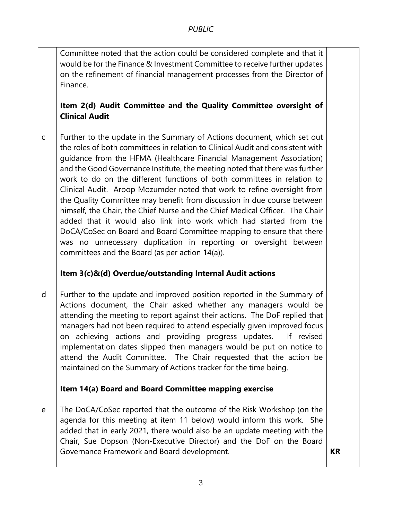Committee noted that the action could be considered complete and that it would be for the Finance & Investment Committee to receive further updates on the refinement of financial management processes from the Director of Finance.

## **Item 2(d) Audit Committee and the Quality Committee oversight of Clinical Audit**

c Further to the update in the Summary of Actions document, which set out the roles of both committees in relation to Clinical Audit and consistent with guidance from the HFMA (Healthcare Financial Management Association) and the Good Governance Institute, the meeting noted that there was further work to do on the different functions of both committees in relation to Clinical Audit. Aroop Mozumder noted that work to refine oversight from the Quality Committee may benefit from discussion in due course between himself, the Chair, the Chief Nurse and the Chief Medical Officer. The Chair added that it would also link into work which had started from the DoCA/CoSec on Board and Board Committee mapping to ensure that there was no unnecessary duplication in reporting or oversight between committees and the Board (as per action 14(a)).

### **Item 3(c)&(d) Overdue/outstanding Internal Audit actions**

d Further to the update and improved position reported in the Summary of Actions document, the Chair asked whether any managers would be attending the meeting to report against their actions. The DoF replied that managers had not been required to attend especially given improved focus on achieving actions and providing progress updates. If revised implementation dates slipped then managers would be put on notice to attend the Audit Committee. The Chair requested that the action be maintained on the Summary of Actions tracker for the time being.

### **Item 14(a) Board and Board Committee mapping exercise**

e The DoCA/CoSec reported that the outcome of the Risk Workshop (on the agenda for this meeting at item 11 below) would inform this work. She added that in early 2021, there would also be an update meeting with the Chair, Sue Dopson (Non-Executive Director) and the DoF on the Board Governance Framework and Board development. **KR**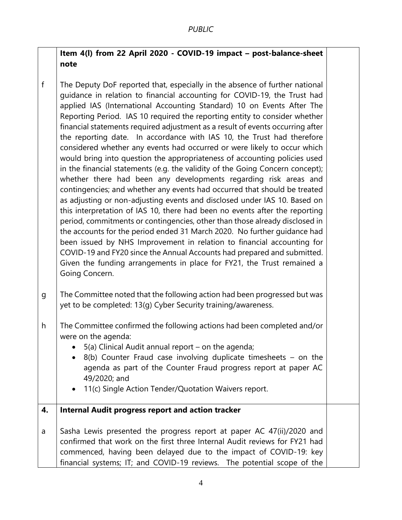### **Item 4(l) from 22 April 2020 - COVID-19 impact – post-balance-sheet note**

- f The Deputy DoF reported that, especially in the absence of further national guidance in relation to financial accounting for COVID-19, the Trust had applied IAS (International Accounting Standard) 10 on Events After The Reporting Period. IAS 10 required the reporting entity to consider whether financial statements required adjustment as a result of events occurring after the reporting date. In accordance with IAS 10, the Trust had therefore considered whether any events had occurred or were likely to occur which would bring into question the appropriateness of accounting policies used in the financial statements (e.g. the validity of the Going Concern concept); whether there had been any developments regarding risk areas and contingencies; and whether any events had occurred that should be treated as adjusting or non-adjusting events and disclosed under IAS 10. Based on this interpretation of IAS 10, there had been no events after the reporting period, commitments or contingencies, other than those already disclosed in the accounts for the period ended 31 March 2020. No further guidance had been issued by NHS Improvement in relation to financial accounting for COVID-19 and FY20 since the Annual Accounts had prepared and submitted. Given the funding arrangements in place for FY21, the Trust remained a Going Concern.
- g The Committee noted that the following action had been progressed but was yet to be completed: 13(g) Cyber Security training/awareness.
- h The Committee confirmed the following actions had been completed and/or were on the agenda:
	- $\bullet$  5(a) Clinical Audit annual report on the agenda;
	- 8(b) Counter Fraud case involving duplicate timesheets on the agenda as part of the Counter Fraud progress report at paper AC 49/2020; and
	- 11(c) Single Action Tender/Quotation Waivers report.
- **4. Internal Audit progress report and action tracker**
- a Sasha Lewis presented the progress report at paper AC 47(ii)/2020 and confirmed that work on the first three Internal Audit reviews for FY21 had commenced, having been delayed due to the impact of COVID-19: key financial systems; IT; and COVID-19 reviews. The potential scope of the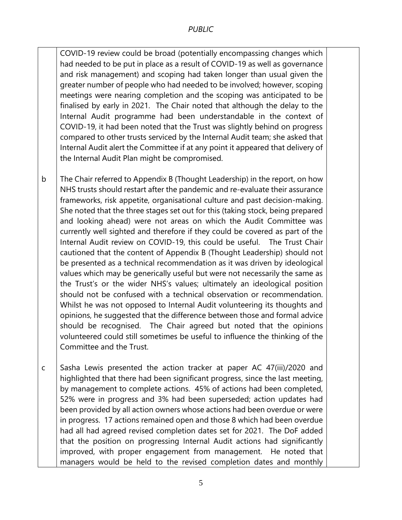COVID-19 review could be broad (potentially encompassing changes which had needed to be put in place as a result of COVID-19 as well as governance and risk management) and scoping had taken longer than usual given the greater number of people who had needed to be involved; however, scoping meetings were nearing completion and the scoping was anticipated to be finalised by early in 2021. The Chair noted that although the delay to the Internal Audit programme had been understandable in the context of COVID-19, it had been noted that the Trust was slightly behind on progress compared to other trusts serviced by the Internal Audit team; she asked that Internal Audit alert the Committee if at any point it appeared that delivery of the Internal Audit Plan might be compromised.

- b The Chair referred to Appendix B (Thought Leadership) in the report, on how NHS trusts should restart after the pandemic and re-evaluate their assurance frameworks, risk appetite, organisational culture and past decision-making. She noted that the three stages set out for this (taking stock, being prepared and looking ahead) were not areas on which the Audit Committee was currently well sighted and therefore if they could be covered as part of the Internal Audit review on COVID-19, this could be useful. The Trust Chair cautioned that the content of Appendix B (Thought Leadership) should not be presented as a technical recommendation as it was driven by ideological values which may be generically useful but were not necessarily the same as the Trust's or the wider NHS's values; ultimately an ideological position should not be confused with a technical observation or recommendation. Whilst he was not opposed to Internal Audit volunteering its thoughts and opinions, he suggested that the difference between those and formal advice should be recognised. The Chair agreed but noted that the opinions volunteered could still sometimes be useful to influence the thinking of the Committee and the Trust.
- c Sasha Lewis presented the action tracker at paper AC 47(iii)/2020 and highlighted that there had been significant progress, since the last meeting, by management to complete actions. 45% of actions had been completed, 52% were in progress and 3% had been superseded; action updates had been provided by all action owners whose actions had been overdue or were in progress. 17 actions remained open and those 8 which had been overdue had all had agreed revised completion dates set for 2021. The DoF added that the position on progressing Internal Audit actions had significantly improved, with proper engagement from management. He noted that managers would be held to the revised completion dates and monthly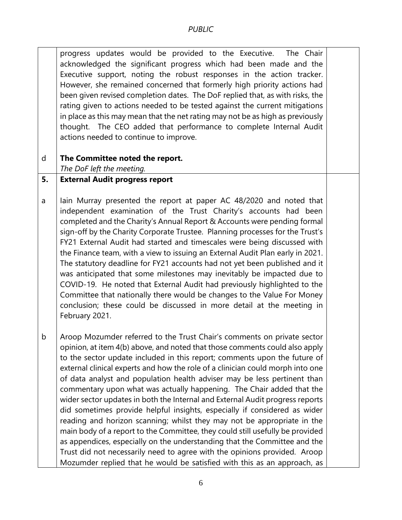progress updates would be provided to the Executive. The Chair acknowledged the significant progress which had been made and the Executive support, noting the robust responses in the action tracker. However, she remained concerned that formerly high priority actions had been given revised completion dates. The DoF replied that, as with risks, the rating given to actions needed to be tested against the current mitigations in place as this may mean that the net rating may not be as high as previously thought. The CEO added that performance to complete Internal Audit actions needed to continue to improve.

#### d **The Committee noted the report.**

*The DoF left the meeting.* 

#### **5. External Audit progress report**

a Iain Murray presented the report at paper AC 48/2020 and noted that independent examination of the Trust Charity's accounts had been completed and the Charity's Annual Report & Accounts were pending formal sign-off by the Charity Corporate Trustee. Planning processes for the Trust's FY21 External Audit had started and timescales were being discussed with the Finance team, with a view to issuing an External Audit Plan early in 2021. The statutory deadline for FY21 accounts had not yet been published and it was anticipated that some milestones may inevitably be impacted due to COVID-19. He noted that External Audit had previously highlighted to the Committee that nationally there would be changes to the Value For Money conclusion; these could be discussed in more detail at the meeting in February 2021.

b Aroop Mozumder referred to the Trust Chair's comments on private sector opinion, at item 4(b) above, and noted that those comments could also apply to the sector update included in this report; comments upon the future of external clinical experts and how the role of a clinician could morph into one of data analyst and population health adviser may be less pertinent than commentary upon what was actually happening. The Chair added that the wider sector updates in both the Internal and External Audit progress reports did sometimes provide helpful insights, especially if considered as wider reading and horizon scanning; whilst they may not be appropriate in the main body of a report to the Committee, they could still usefully be provided as appendices, especially on the understanding that the Committee and the Trust did not necessarily need to agree with the opinions provided. Aroop Mozumder replied that he would be satisfied with this as an approach, as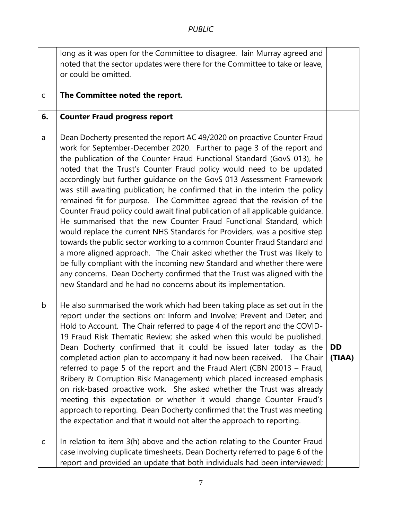|             | long as it was open for the Committee to disagree. Iain Murray agreed and                                                                                                                                                                                                                                                                                                                                                                                                                                                                                                                                                                                                                                                                                                                                                                                                                                                                                                                                                                                                                                                                                        |                     |
|-------------|------------------------------------------------------------------------------------------------------------------------------------------------------------------------------------------------------------------------------------------------------------------------------------------------------------------------------------------------------------------------------------------------------------------------------------------------------------------------------------------------------------------------------------------------------------------------------------------------------------------------------------------------------------------------------------------------------------------------------------------------------------------------------------------------------------------------------------------------------------------------------------------------------------------------------------------------------------------------------------------------------------------------------------------------------------------------------------------------------------------------------------------------------------------|---------------------|
|             | noted that the sector updates were there for the Committee to take or leave,                                                                                                                                                                                                                                                                                                                                                                                                                                                                                                                                                                                                                                                                                                                                                                                                                                                                                                                                                                                                                                                                                     |                     |
|             | or could be omitted.                                                                                                                                                                                                                                                                                                                                                                                                                                                                                                                                                                                                                                                                                                                                                                                                                                                                                                                                                                                                                                                                                                                                             |                     |
| $\mathsf C$ | The Committee noted the report.                                                                                                                                                                                                                                                                                                                                                                                                                                                                                                                                                                                                                                                                                                                                                                                                                                                                                                                                                                                                                                                                                                                                  |                     |
| 6.          |                                                                                                                                                                                                                                                                                                                                                                                                                                                                                                                                                                                                                                                                                                                                                                                                                                                                                                                                                                                                                                                                                                                                                                  |                     |
|             | <b>Counter Fraud progress report</b>                                                                                                                                                                                                                                                                                                                                                                                                                                                                                                                                                                                                                                                                                                                                                                                                                                                                                                                                                                                                                                                                                                                             |                     |
| a           | Dean Docherty presented the report AC 49/2020 on proactive Counter Fraud<br>work for September-December 2020. Further to page 3 of the report and<br>the publication of the Counter Fraud Functional Standard (GovS 013), he<br>noted that the Trust's Counter Fraud policy would need to be updated<br>accordingly but further guidance on the GovS 013 Assessment Framework<br>was still awaiting publication; he confirmed that in the interim the policy<br>remained fit for purpose. The Committee agreed that the revision of the<br>Counter Fraud policy could await final publication of all applicable guidance.<br>He summarised that the new Counter Fraud Functional Standard, which<br>would replace the current NHS Standards for Providers, was a positive step<br>towards the public sector working to a common Counter Fraud Standard and<br>a more aligned approach. The Chair asked whether the Trust was likely to<br>be fully compliant with the incoming new Standard and whether there were<br>any concerns. Dean Docherty confirmed that the Trust was aligned with the<br>new Standard and he had no concerns about its implementation. |                     |
| $\mathsf b$ | He also summarised the work which had been taking place as set out in the<br>report under the sections on: Inform and Involve; Prevent and Deter; and<br>Hold to Account. The Chair referred to page 4 of the report and the COVID-<br>19 Fraud Risk Thematic Review; she asked when this would be published.<br>Dean Docherty confirmed that it could be issued later today as the<br>completed action plan to accompany it had now been received.  The Chair<br>referred to page 5 of the report and the Fraud Alert (CBN 20013 - Fraud,<br>Bribery & Corruption Risk Management) which placed increased emphasis<br>on risk-based proactive work. She asked whether the Trust was already<br>meeting this expectation or whether it would change Counter Fraud's<br>approach to reporting. Dean Docherty confirmed that the Trust was meeting<br>the expectation and that it would not alter the approach to reporting.                                                                                                                                                                                                                                       | <b>DD</b><br>(TIAA) |
| $\mathsf C$ | In relation to item 3(h) above and the action relating to the Counter Fraud<br>case involving duplicate timesheets, Dean Docherty referred to page 6 of the<br>report and provided an update that both individuals had been interviewed;                                                                                                                                                                                                                                                                                                                                                                                                                                                                                                                                                                                                                                                                                                                                                                                                                                                                                                                         |                     |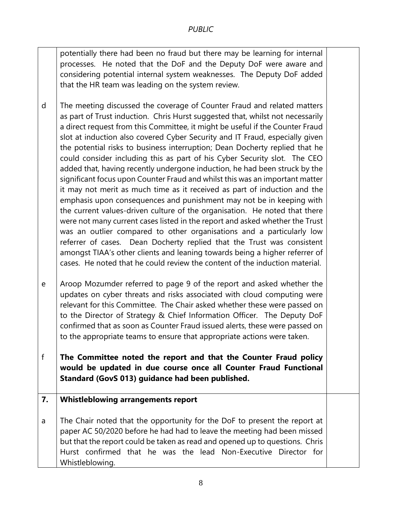potentially there had been no fraud but there may be learning for internal processes. He noted that the DoF and the Deputy DoF were aware and considering potential internal system weaknesses. The Deputy DoF added that the HR team was leading on the system review.

d The meeting discussed the coverage of Counter Fraud and related matters as part of Trust induction. Chris Hurst suggested that, whilst not necessarily a direct request from this Committee, it might be useful if the Counter Fraud slot at induction also covered Cyber Security and IT Fraud, especially given the potential risks to business interruption; Dean Docherty replied that he could consider including this as part of his Cyber Security slot. The CEO added that, having recently undergone induction, he had been struck by the significant focus upon Counter Fraud and whilst this was an important matter it may not merit as much time as it received as part of induction and the emphasis upon consequences and punishment may not be in keeping with the current values-driven culture of the organisation. He noted that there were not many current cases listed in the report and asked whether the Trust was an outlier compared to other organisations and a particularly low referrer of cases. Dean Docherty replied that the Trust was consistent amongst TIAA's other clients and leaning towards being a higher referrer of cases. He noted that he could review the content of the induction material.

e Aroop Mozumder referred to page 9 of the report and asked whether the updates on cyber threats and risks associated with cloud computing were relevant for this Committee. The Chair asked whether these were passed on to the Director of Strategy & Chief Information Officer. The Deputy DoF confirmed that as soon as Counter Fraud issued alerts, these were passed on to the appropriate teams to ensure that appropriate actions were taken.

f **The Committee noted the report and that the Counter Fraud policy would be updated in due course once all Counter Fraud Functional Standard (GovS 013) guidance had been published.** 

#### **7. Whistleblowing arrangements report**

a The Chair noted that the opportunity for the DoF to present the report at paper AC 50/2020 before he had had to leave the meeting had been missed but that the report could be taken as read and opened up to questions. Chris Hurst confirmed that he was the lead Non-Executive Director for Whistleblowing.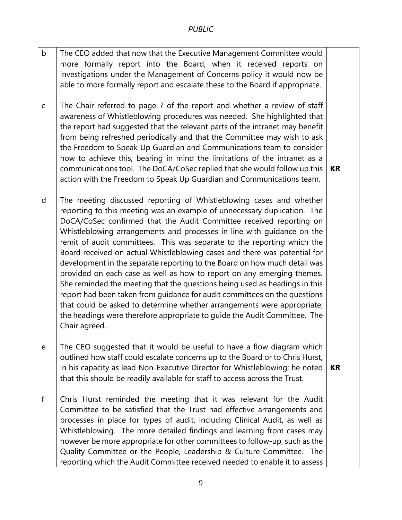- b c The CEO added that now that the Executive Management Committee would more formally report into the Board, when it received reports on investigations under the Management of Concerns policy it would now be able to more formally report and escalate these to the Board if appropriate. The Chair referred to page 7 of the report and whether a review of staff awareness of Whistleblowing procedures was needed. She highlighted that the report had suggested that the relevant parts of the intranet may benefit from being refreshed periodically and that the Committee may wish to ask the Freedom to Speak Up Guardian and Communications team to consider how to achieve this, bearing in mind the limitations of the intranet as a communications tool. The DoCA/CoSec replied that she would follow up this action with the Freedom to Speak Up Guardian and Communications team. **KR**
- d The meeting discussed reporting of Whistleblowing cases and whether reporting to this meeting was an example of unnecessary duplication. The DoCA/CoSec confirmed that the Audit Committee received reporting on Whistleblowing arrangements and processes in line with guidance on the remit of audit committees. This was separate to the reporting which the Board received on actual Whistleblowing cases and there was potential for development in the separate reporting to the Board on how much detail was provided on each case as well as how to report on any emerging themes. She reminded the meeting that the questions being used as headings in this report had been taken from guidance for audit committees on the questions that could be asked to determine whether arrangements were appropriate; the headings were therefore appropriate to guide the Audit Committee. The Chair agreed.
- e The CEO suggested that it would be useful to have a flow diagram which outlined how staff could escalate concerns up to the Board or to Chris Hurst, in his capacity as lead Non-Executive Director for Whistleblowing; he noted that this should be readily available for staff to access across the Trust. **KR**
- f Chris Hurst reminded the meeting that it was relevant for the Audit Committee to be satisfied that the Trust had effective arrangements and processes in place for types of audit, including Clinical Audit, as well as Whistleblowing. The more detailed findings and learning from cases may however be more appropriate for other committees to follow-up, such as the Quality Committee or the People, Leadership & Culture Committee. The reporting which the Audit Committee received needed to enable it to assess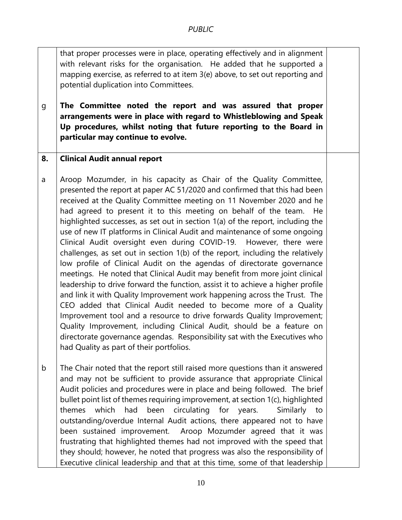that proper processes were in place, operating effectively and in alignment with relevant risks for the organisation. He added that he supported a mapping exercise, as referred to at item 3(e) above, to set out reporting and potential duplication into Committees.

g **The Committee noted the report and was assured that proper arrangements were in place with regard to Whistleblowing and Speak Up procedures, whilst noting that future reporting to the Board in particular may continue to evolve.** 

#### **8. Clinical Audit annual report**

- a Aroop Mozumder, in his capacity as Chair of the Quality Committee, presented the report at paper AC 51/2020 and confirmed that this had been received at the Quality Committee meeting on 11 November 2020 and he had agreed to present it to this meeting on behalf of the team. He highlighted successes, as set out in section 1(a) of the report, including the use of new IT platforms in Clinical Audit and maintenance of some ongoing Clinical Audit oversight even during COVID-19. However, there were challenges, as set out in section 1(b) of the report, including the relatively low profile of Clinical Audit on the agendas of directorate governance meetings. He noted that Clinical Audit may benefit from more joint clinical leadership to drive forward the function, assist it to achieve a higher profile and link it with Quality Improvement work happening across the Trust. The CEO added that Clinical Audit needed to become more of a Quality Improvement tool and a resource to drive forwards Quality Improvement; Quality Improvement, including Clinical Audit, should be a feature on directorate governance agendas. Responsibility sat with the Executives who had Quality as part of their portfolios.
- b The Chair noted that the report still raised more questions than it answered and may not be sufficient to provide assurance that appropriate Clinical Audit policies and procedures were in place and being followed. The brief bullet point list of themes requiring improvement, at section 1(c), highlighted themes which had been circulating for years. Similarly to outstanding/overdue Internal Audit actions, there appeared not to have been sustained improvement. Aroop Mozumder agreed that it was frustrating that highlighted themes had not improved with the speed that they should; however, he noted that progress was also the responsibility of Executive clinical leadership and that at this time, some of that leadership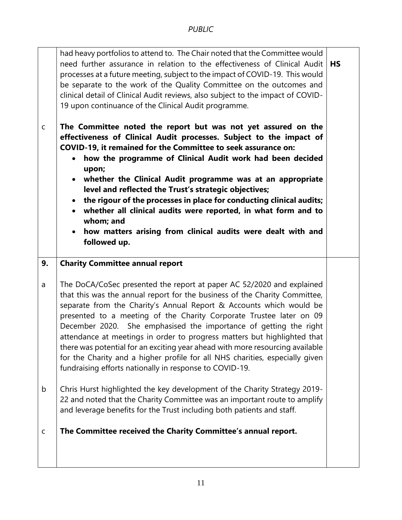| $\mathsf C$ | had heavy portfolios to attend to. The Chair noted that the Committee would<br>need further assurance in relation to the effectiveness of Clinical Audit<br>processes at a future meeting, subject to the impact of COVID-19. This would<br>be separate to the work of the Quality Committee on the outcomes and<br>clinical detail of Clinical Audit reviews, also subject to the impact of COVID-<br>19 upon continuance of the Clinical Audit programme.<br>The Committee noted the report but was not yet assured on the<br>effectiveness of Clinical Audit processes. Subject to the impact of<br>COVID-19, it remained for the Committee to seek assurance on:<br>how the programme of Clinical Audit work had been decided<br>$\bullet$<br>upon;<br>whether the Clinical Audit programme was at an appropriate<br>$\bullet$<br>level and reflected the Trust's strategic objectives;<br>the rigour of the processes in place for conducting clinical audits;<br>$\bullet$<br>whether all clinical audits were reported, in what form and to<br>$\bullet$<br>whom; and<br>how matters arising from clinical audits were dealt with and<br>followed up. | <b>HS</b> |
|-------------|--------------------------------------------------------------------------------------------------------------------------------------------------------------------------------------------------------------------------------------------------------------------------------------------------------------------------------------------------------------------------------------------------------------------------------------------------------------------------------------------------------------------------------------------------------------------------------------------------------------------------------------------------------------------------------------------------------------------------------------------------------------------------------------------------------------------------------------------------------------------------------------------------------------------------------------------------------------------------------------------------------------------------------------------------------------------------------------------------------------------------------------------------------------|-----------|
| 9.          | <b>Charity Committee annual report</b>                                                                                                                                                                                                                                                                                                                                                                                                                                                                                                                                                                                                                                                                                                                                                                                                                                                                                                                                                                                                                                                                                                                       |           |
| a           | The DoCA/CoSec presented the report at paper AC 52/2020 and explained<br>that this was the annual report for the business of the Charity Committee,<br>separate from the Charity's Annual Report & Accounts which would be<br>presented to a meeting of the Charity Corporate Trustee later on 09<br>December 2020. She emphasised the importance of getting the right<br>attendance at meetings in order to progress matters but highlighted that<br>there was potential for an exciting year ahead with more resourcing available<br>for the Charity and a higher profile for all NHS charities, especially given<br>fundraising efforts nationally in response to COVID-19.                                                                                                                                                                                                                                                                                                                                                                                                                                                                               |           |
| b           | Chris Hurst highlighted the key development of the Charity Strategy 2019-<br>22 and noted that the Charity Committee was an important route to amplify<br>and leverage benefits for the Trust including both patients and staff.                                                                                                                                                                                                                                                                                                                                                                                                                                                                                                                                                                                                                                                                                                                                                                                                                                                                                                                             |           |
| $\mathsf C$ | The Committee received the Charity Committee's annual report.                                                                                                                                                                                                                                                                                                                                                                                                                                                                                                                                                                                                                                                                                                                                                                                                                                                                                                                                                                                                                                                                                                |           |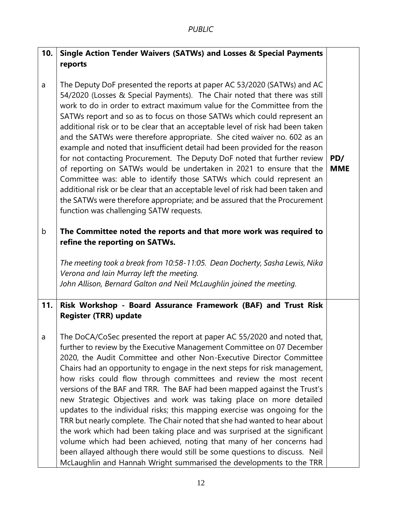| 10.         | <b>Single Action Tender Waivers (SATWs) and Losses &amp; Special Payments</b>                                                                                                                                                                                                                                                                                                                                                                                                                                                                                                                                                                                                                                                                                                                                                                                                                                                                                                                          |                   |
|-------------|--------------------------------------------------------------------------------------------------------------------------------------------------------------------------------------------------------------------------------------------------------------------------------------------------------------------------------------------------------------------------------------------------------------------------------------------------------------------------------------------------------------------------------------------------------------------------------------------------------------------------------------------------------------------------------------------------------------------------------------------------------------------------------------------------------------------------------------------------------------------------------------------------------------------------------------------------------------------------------------------------------|-------------------|
|             | reports                                                                                                                                                                                                                                                                                                                                                                                                                                                                                                                                                                                                                                                                                                                                                                                                                                                                                                                                                                                                |                   |
| a           | The Deputy DoF presented the reports at paper AC 53/2020 (SATWs) and AC<br>54/2020 (Losses & Special Payments). The Chair noted that there was still<br>work to do in order to extract maximum value for the Committee from the<br>SATWs report and so as to focus on those SATWs which could represent an<br>additional risk or to be clear that an acceptable level of risk had been taken<br>and the SATWs were therefore appropriate. She cited waiver no. 602 as an<br>example and noted that insufficient detail had been provided for the reason<br>for not contacting Procurement. The Deputy DoF noted that further review<br>of reporting on SATWs would be undertaken in 2021 to ensure that the<br>Committee was: able to identify those SATWs which could represent an<br>additional risk or be clear that an acceptable level of risk had been taken and<br>the SATWs were therefore appropriate; and be assured that the Procurement<br>function was challenging SATW requests.         | PD/<br><b>MME</b> |
| $\mathsf b$ | The Committee noted the reports and that more work was required to<br>refine the reporting on SATWs.                                                                                                                                                                                                                                                                                                                                                                                                                                                                                                                                                                                                                                                                                                                                                                                                                                                                                                   |                   |
|             | The meeting took a break from 10:58-11:05. Dean Docherty, Sasha Lewis, Nika<br>Verona and Iain Murray left the meeting.<br>John Allison, Bernard Galton and Neil McLaughlin joined the meeting.                                                                                                                                                                                                                                                                                                                                                                                                                                                                                                                                                                                                                                                                                                                                                                                                        |                   |
| 11.         | Risk Workshop - Board Assurance Framework (BAF) and Trust Risk<br><b>Register (TRR) update</b>                                                                                                                                                                                                                                                                                                                                                                                                                                                                                                                                                                                                                                                                                                                                                                                                                                                                                                         |                   |
| a           | The DoCA/CoSec presented the report at paper AC 55/2020 and noted that,<br>further to review by the Executive Management Committee on 07 December<br>2020, the Audit Committee and other Non-Executive Director Committee<br>Chairs had an opportunity to engage in the next steps for risk management,<br>how risks could flow through committees and review the most recent<br>versions of the BAF and TRR. The BAF had been mapped against the Trust's<br>new Strategic Objectives and work was taking place on more detailed<br>updates to the individual risks; this mapping exercise was ongoing for the<br>TRR but nearly complete. The Chair noted that she had wanted to hear about<br>the work which had been taking place and was surprised at the significant<br>volume which had been achieved, noting that many of her concerns had<br>been allayed although there would still be some questions to discuss. Neil<br>McLaughlin and Hannah Wright summarised the developments to the TRR |                   |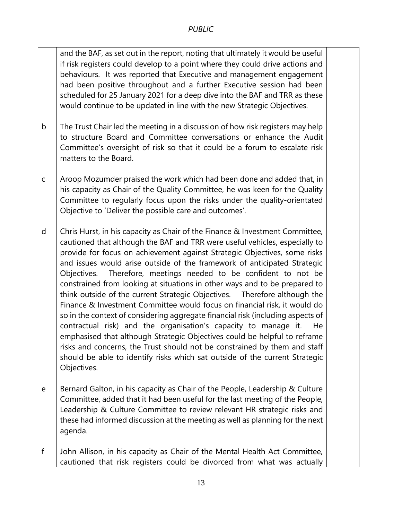and the BAF, as set out in the report, noting that ultimately it would be useful if risk registers could develop to a point where they could drive actions and behaviours. It was reported that Executive and management engagement had been positive throughout and a further Executive session had been scheduled for 25 January 2021 for a deep dive into the BAF and TRR as these would continue to be updated in line with the new Strategic Objectives.

- b The Trust Chair led the meeting in a discussion of how risk registers may help to structure Board and Committee conversations or enhance the Audit Committee's oversight of risk so that it could be a forum to escalate risk matters to the Board.
- c Aroop Mozumder praised the work which had been done and added that, in his capacity as Chair of the Quality Committee, he was keen for the Quality Committee to regularly focus upon the risks under the quality-orientated Objective to 'Deliver the possible care and outcomes'.
- d Chris Hurst, in his capacity as Chair of the Finance & Investment Committee, cautioned that although the BAF and TRR were useful vehicles, especially to provide for focus on achievement against Strategic Objectives, some risks and issues would arise outside of the framework of anticipated Strategic Objectives. Therefore, meetings needed to be confident to not be constrained from looking at situations in other ways and to be prepared to think outside of the current Strategic Objectives. Therefore although the Finance & Investment Committee would focus on financial risk, it would do so in the context of considering aggregate financial risk (including aspects of contractual risk) and the organisation's capacity to manage it. He emphasised that although Strategic Objectives could be helpful to reframe risks and concerns, the Trust should not be constrained by them and staff should be able to identify risks which sat outside of the current Strategic Objectives.
- e Bernard Galton, in his capacity as Chair of the People, Leadership & Culture Committee, added that it had been useful for the last meeting of the People, Leadership & Culture Committee to review relevant HR strategic risks and these had informed discussion at the meeting as well as planning for the next agenda.
- f John Allison, in his capacity as Chair of the Mental Health Act Committee, cautioned that risk registers could be divorced from what was actually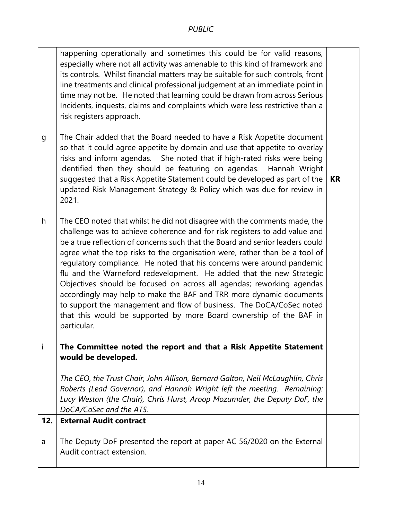happening operationally and sometimes this could be for valid reasons, especially where not all activity was amenable to this kind of framework and its controls. Whilst financial matters may be suitable for such controls, front line treatments and clinical professional judgement at an immediate point in time may not be. He noted that learning could be drawn from across Serious Incidents, inquests, claims and complaints which were less restrictive than a risk registers approach.

g The Chair added that the Board needed to have a Risk Appetite document so that it could agree appetite by domain and use that appetite to overlay risks and inform agendas. She noted that if high-rated risks were being identified then they should be featuring on agendas. Hannah Wright suggested that a Risk Appetite Statement could be developed as part of the updated Risk Management Strategy & Policy which was due for review in 2021.

**KR**

h The CEO noted that whilst he did not disagree with the comments made, the challenge was to achieve coherence and for risk registers to add value and be a true reflection of concerns such that the Board and senior leaders could agree what the top risks to the organisation were, rather than be a tool of regulatory compliance. He noted that his concerns were around pandemic flu and the Warneford redevelopment. He added that the new Strategic Objectives should be focused on across all agendas; reworking agendas accordingly may help to make the BAF and TRR more dynamic documents to support the management and flow of business. The DoCA/CoSec noted that this would be supported by more Board ownership of the BAF in particular.

### i **The Committee noted the report and that a Risk Appetite Statement would be developed.**

*The CEO, the Trust Chair, John Allison, Bernard Galton, Neil McLaughlin, Chris Roberts (Lead Governor), and Hannah Wright left the meeting. Remaining: Lucy Weston (the Chair), Chris Hurst, Aroop Mozumder, the Deputy DoF, the DoCA/CoSec and the ATS.* 

#### **12. External Audit contract**

a The Deputy DoF presented the report at paper AC 56/2020 on the External Audit contract extension.